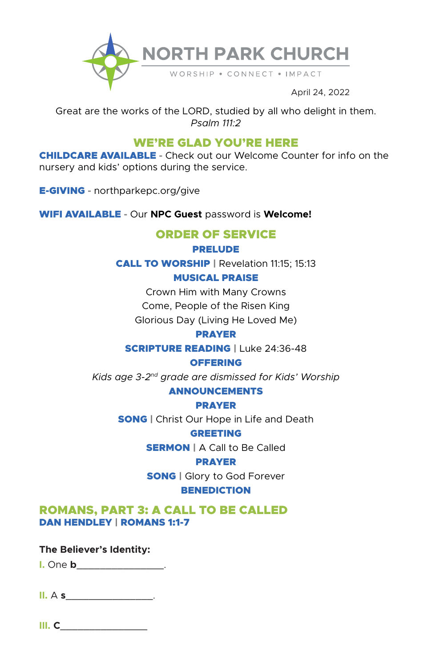

April 24, 2022

Great are the works of the LORD, studied by all who delight in them. *Psalm 111:2*

# WE'RE GLAD YOU'RE HERE

CHILDCARE AVAILABLE **-** Check out our Welcome Counter for info on the nursery and kids' options during the service.

E-GIVING **-** northparkepc.org/give

WIFI AVAILABLE **-** Our **NPC Guest** password is **Welcome!**

## ORDER OF SERVICE

PRELUDE

CALL TO WORSHIP | Revelation 11:15; 15:13

MUSICAL PRAISE

Crown Him with Many Crowns

Come, People of the Risen King

Glorious Day (Living He Loved Me)

PRAYER

SCRIPTURE READING | Luke 24:36-48

**OFFERING** 

*Kids age 3-2nd grade are dismissed for Kids' Worship* 

### ANNOUNCEMENTS

PRAYER

**SONG** | Christ Our Hope in Life and Death

GREETING

**SERMON | A Call to Be Called** 

PRAYER

**SONG** | Glory to God Forever **BENEDICTION** 

ROMANS, PART 3: A CALL TO BE CALLED DAN HENDLEY | ROMANS 1:1-7

**The Believer's Identity:**

**I.** One **b**\_\_\_\_\_\_\_\_\_\_\_\_\_\_\_.

**II.** A **s**\_\_\_\_\_\_\_\_\_\_\_\_\_\_\_.

**III. C**\_\_\_\_\_\_\_\_\_\_\_\_\_\_\_